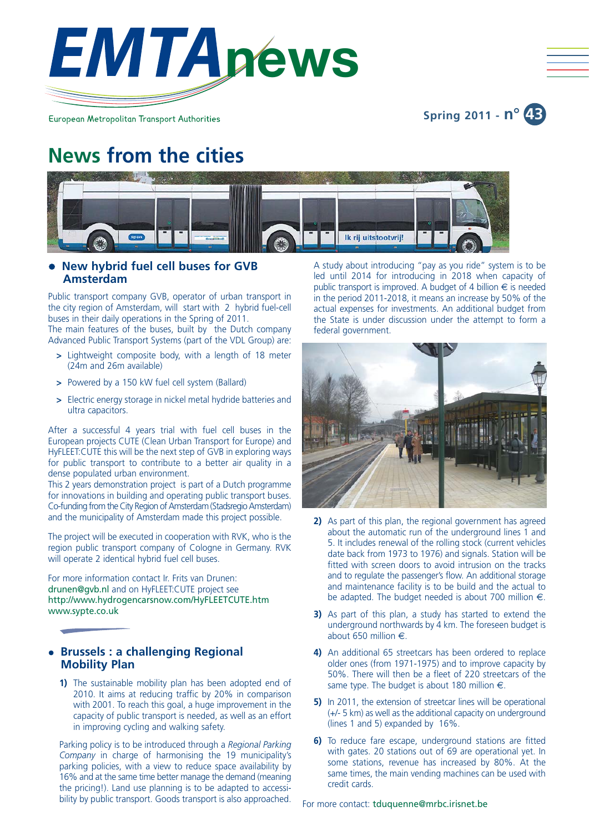

European Metropolitan Transport Authorities

**Spring 2011 - n° 43**

# **News from the cities**



# **• New hybrid fuel cell buses for GVB Amsterdam**

Public transport company GVB, operator of urban transport in the city region of Amsterdam, will start with 2 hybrid fuel-cell buses in their daily operations in the Spring of 2011.

The main features of the buses, built by the Dutch company Advanced Public Transport Systems (part of the VDL Group) are:

- **>** Lightweight composite body, with a length of 18 meter (24m and 26m available)
- **>** Powered by a 150 kW fuel cell system (Ballard)
- **>** Electric energy storage in nickel metal hydride batteries and ultra capacitors.

After a successful 4 years trial with fuel cell buses in the European projects CUTE (Clean Urban Transport for Europe) and HyFLEET:CUTE this will be the next step of GVB in exploring ways for public transport to contribute to a better air quality in a dense populated urban environment.

This 2 years demonstration project is part of a Dutch programme for innovations in building and operating public transport buses. Co-funding from the City Region of Amsterdam (Stadsregio Amsterdam) and the municipality of Amsterdam made this project possible.

The project will be executed in cooperation with RVK, who is the region public transport company of Cologne in Germany. RVK will operate 2 identical hybrid fuel cell buses.

For more information contact Ir. Frits van Drunen: drunen@gvb.nl and on HyFLEET:CUTE project see http://www.hydrogencarsnow.com/HyFLEETCUTE.htm www.sypte.co.uk

# **• Brussels : a challenging Regional Mobility Plan**

**1)** The sustainable mobility plan has been adopted end of 2010. It aims at reducing traffic by 20% in comparison with 2001. To reach this goal, a huge improvement in the capacity of public transport is needed, as well as an effort in improving cycling and walking safety.

Parking policy is to be introduced through a *Regional Parking Company* in charge of harmonising the 19 municipality's parking policies, with a view to reduce space availability by 16% and at the same time better manage the demand (meaning the pricing!). Land use planning is to be adapted to accessibility by public transport. Goods transport is also approached.

A study about introducing "pay as you ride" system is to be led until 2014 for introducing in 2018 when capacity of public transport is improved. A budget of 4 billion  $\epsilon$  is needed in the period 2011-2018, it means an increase by 50% of the actual expenses for investments. An additional budget from the State is under discussion under the attempt to form a federal government.



- **2)** As part of this plan, the regional government has agreed about the automatic run of the underground lines 1 and 5. It includes renewal of the rolling stock (current vehicles date back from 1973 to 1976) and signals. Station will be fitted with screen doors to avoid intrusion on the tracks and to regulate the passenger's flow. An additional storage and maintenance facility is to be build and the actual to be adapted. The budget needed is about 700 million  $\epsilon$ .
- **3)** As part of this plan, a study has started to extend the underground northwards by 4 km. The foreseen budget is about 650 million €.
- **4)** An additional 65 streetcars has been ordered to replace older ones (from 1971-1975) and to improve capacity by 50%. There will then be a fleet of 220 streetcars of the same type. The budget is about 180 million  $\epsilon$ .
- **5)** In 2011, the extension of streetcar lines will be operational (+/- 5 km) as well as the additional capacity on underground (lines 1 and 5) expanded by 16%.
- **6)** To reduce fare escape, underground stations are fitted with gates. 20 stations out of 69 are operational yet. In some stations, revenue has increased by 80%. At the same times, the main vending machines can be used with credit cards.

For more contact: tduquenne@mrbc.irisnet.be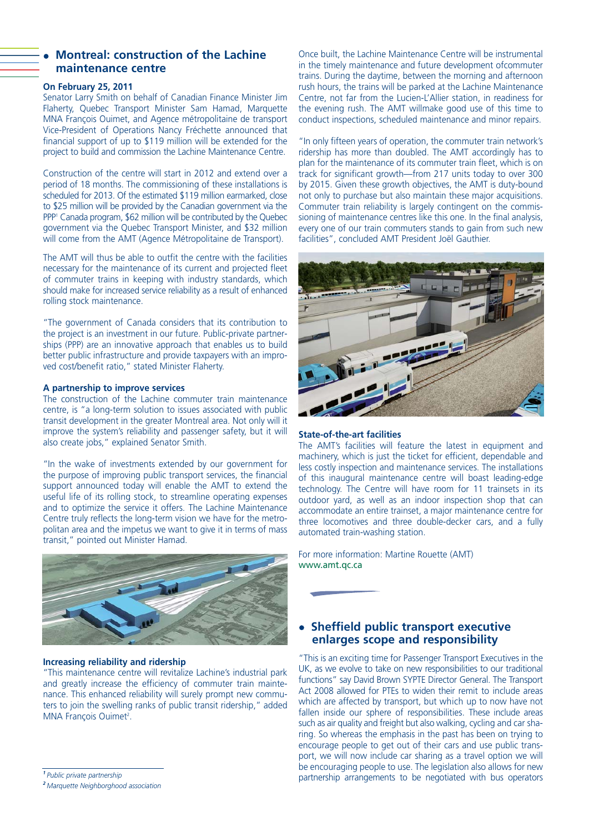## **Montreal: construction of the Lachine maintenance centre**

#### **On February 25, 2011**

Senator Larry Smith on behalf of Canadian Finance Minister Jim Flaherty, Quebec Transport Minister Sam Hamad, Marquette MNA François Ouimet, and Agence métropolitaine de transport Vice-President of Operations Nancy Fréchette announced that financial support of up to \$119 million will be extended for the project to build and commission the Lachine Maintenance Centre.

Construction of the centre will start in 2012 and extend over a period of 18 months. The commissioning of these installations is scheduled for 2013. Of the estimated \$119 million earmarked, close to \$25 million will be provided by the Canadian government via the PPP<sup>1</sup> Canada program, \$62 million will be contributed by the Quebec government via the Quebec Transport Minister, and \$32 million will come from the AMT (Agence Métropolitaine de Transport).

The AMT will thus be able to outfit the centre with the facilities necessary for the maintenance of its current and projected fleet of commuter trains in keeping with industry standards, which should make for increased service reliability as a result of enhanced rolling stock maintenance.

"The government of Canada considers that its contribution to the project is an investment in our future. Public-private partnerships (PPP) are an innovative approach that enables us to build better public infrastructure and provide taxpayers with an improved cost/benefit ratio," stated Minister Flaherty.

#### **A partnership to improve services**

The construction of the Lachine commuter train maintenance centre, is "a long-term solution to issues associated with public transit development in the greater Montreal area. Not only will it improve the system's reliability and passenger safety, but it will also create jobs," explained Senator Smith.

"In the wake of investments extended by our government for the purpose of improving public transport services, the financial support announced today will enable the AMT to extend the useful life of its rolling stock, to streamline operating expenses and to optimize the service it offers. The Lachine Maintenance Centre truly reflects the long-term vision we have for the metropolitan area and the impetus we want to give it in terms of mass transit," pointed out Minister Hamad.



#### **Increasing reliability and ridership**

"This maintenance centre will revitalize Lachine's industrial park and greatly increase the efficiency of commuter train maintenance. This enhanced reliability will surely prompt new commuters to join the swelling ranks of public transit ridership," added MNA François Ouimet<sup>2</sup>.

*<sup>1</sup>Public private partnership*

Once built, the Lachine Maintenance Centre will be instrumental in the timely maintenance and future development ofcommuter trains. During the daytime, between the morning and afternoon rush hours, the trains will be parked at the Lachine Maintenance Centre, not far from the Lucien-L'Allier station, in readiness for the evening rush. The AMT willmake good use of this time to conduct inspections, scheduled maintenance and minor repairs.

"In only fifteen years of operation, the commuter train network's ridership has more than doubled. The AMT accordingly has to plan for the maintenance of its commuter train fleet, which is on track for significant growth—from 217 units today to over 300 by 2015. Given these growth objectives, the AMT is duty-bound not only to purchase but also maintain these major acquisitions. Commuter train reliability is largely contingent on the commissioning of maintenance centres like this one. In the final analysis, every one of our train commuters stands to gain from such new facilities", concluded AMT President Joël Gauthier.



#### **State-of-the-art facilities**

The AMT's facilities will feature the latest in equipment and machinery, which is just the ticket for efficient, dependable and less costly inspection and maintenance services. The installations of this inaugural maintenance centre will boast leading-edge technology. The Centre will have room for 11 trainsets in its outdoor yard, as well as an indoor inspection shop that can accommodate an entire trainset, a major maintenance centre for three locomotives and three double-decker cars, and a fully automated train-washing station.

For more information: Martine Rouette (AMT) www.amt.qc.ca

# **• Sheffield public transport executive enlarges scope and responsibility**

"This is an exciting time for Passenger Transport Executives in the UK, as we evolve to take on new responsibilities to our traditional functions" say David Brown SYPTE Director General. The Transport Act 2008 allowed for PTEs to widen their remit to include areas which are affected by transport, but which up to now have not fallen inside our sphere of responsibilities. These include areas such as air quality and freight but also walking, cycling and car sharing. So whereas the emphasis in the past has been on trying to encourage people to get out of their cars and use public transport, we will now include car sharing as a travel option we will be encouraging people to use. The legislation also allows for new partnership arrangements to be negotiated with bus operators

*<sup>2</sup>Marquette Neighborghood association*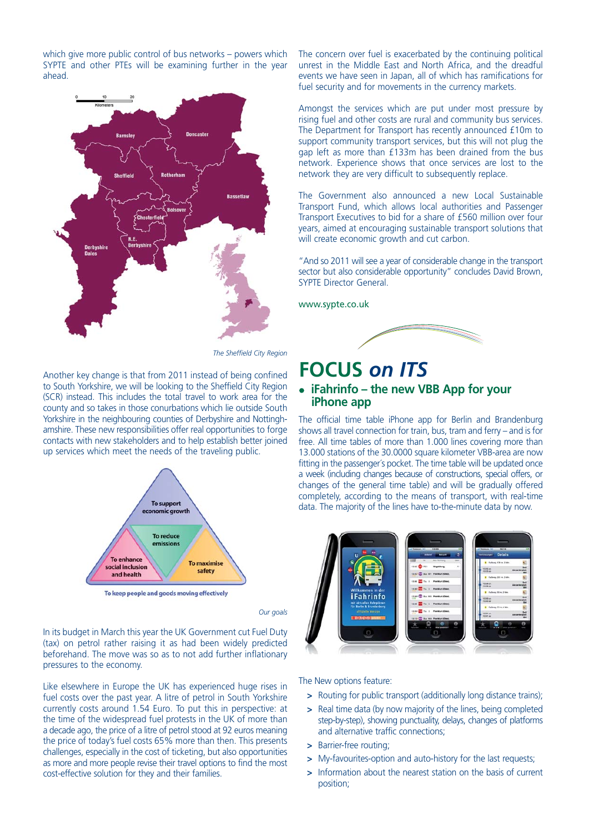which give more public control of bus networks – powers which SYPTE and other PTEs will be examining further in the year ahead.



*The Sheffield City Region*

Another key change is that from 2011 instead of being confined to South Yorkshire, we will be looking to the Sheffield City Region (SCR) instead. This includes the total travel to work area for the county and so takes in those conurbations which lie outside South Yorkshire in the neighbouring counties of Derbyshire and Nottinghamshire. These new responsibilities offer real opportunities to forge contacts with new stakeholders and to help establish better joined up services which meet the needs of the traveling public.



*Our goals*

In its budget in March this year the UK Government cut Fuel Duty (tax) on petrol rather raising it as had been widely predicted beforehand. The move was so as to not add further inflationary pressures to the economy.

Like elsewhere in Europe the UK has experienced huge rises in fuel costs over the past year. A litre of petrol in South Yorkshire currently costs around 1.54 Euro. To put this in perspective: at the time of the widespread fuel protests in the UK of more than a decade ago, the price of a litre of petrol stood at 92 euros meaning the price of today's fuel costs 65% more than then. This presents challenges, especially in the cost of ticketing, but also opportunities as more and more people revise their travel options to find the most cost-effective solution for they and their families.

The concern over fuel is exacerbated by the continuing political unrest in the Middle East and North Africa, and the dreadful events we have seen in Japan, all of which has ramifications for fuel security and for movements in the currency markets.

Amongst the services which are put under most pressure by rising fuel and other costs are rural and community bus services. The Department for Transport has recently announced £10m to support community transport services, but this will not plug the gap left as more than £133m has been drained from the bus network. Experience shows that once services are lost to the network they are very difficult to subsequently replace.

The Government also announced a new Local Sustainable Transport Fund, which allows local authorities and Passenger Transport Executives to bid for a share of £560 million over four years, aimed at encouraging sustainable transport solutions that will create economic growth and cut carbon.

"And so 2011 will see a year of considerable change in the transport sector but also considerable opportunity" concludes David Brown, SYPTE Director General.

www.sypte.co.uk



# **FOCUS** *on ITS*

# <sup>z</sup> **iFahrinfo – the new VBB App for your iPhone app**

The official time table iPhone app for Berlin and Brandenburg shows all travel connection for train, bus, tram and ferry – and is for free. All time tables of more than 1.000 lines covering more than 13.000 stations of the 30.0000 square kilometer VBB-area are now fitting in the passenger´s pocket. The time table will be updated once a week (including changes because of constructions, special offers, or changes of the general time table) and will be gradually offered completely, according to the means of transport, with real-time data. The majority of the lines have to-the-minute data by now.



The New options feature:

- **>** Routing for public transport (additionally long distance trains);
- **>** Real time data (by now majority of the lines, being completed step-by-step), showing punctuality, delays, changes of platforms and alternative traffic connections;
- **>** Barrier-free routing;
- **>** My-favourites-option and auto-history for the last requests;
- **>** Information about the nearest station on the basis of current position;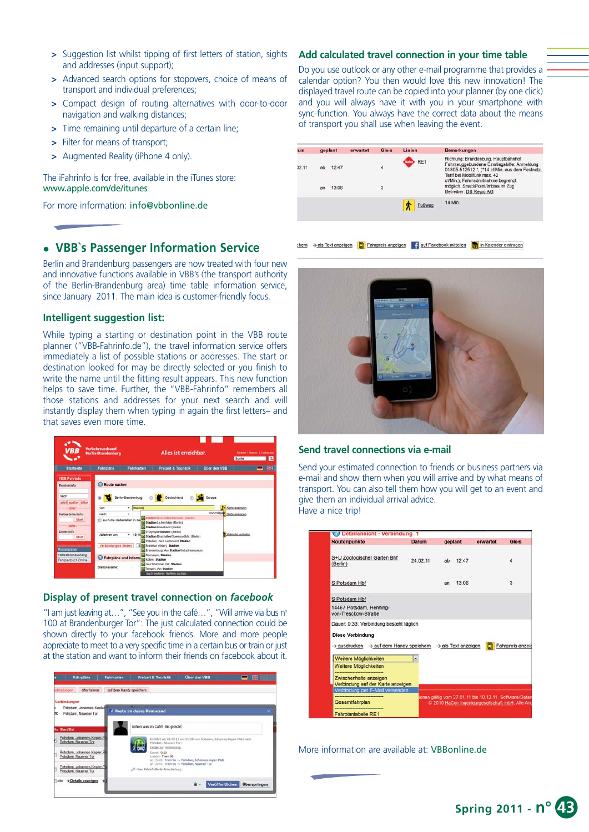- **>** Suggestion list whilst tipping of first letters of station, sights and addresses (input support);
- **>** Advanced search options for stopovers, choice of means of transport and individual preferences;
- **>** Compact design of routing alternatives with door-to-door navigation and walking distances;
- **>** Time remaining until departure of a certain line;
- **>** Filter for means of transport;
- **>** Augmented Reality (iPhone 4 only).

The iFahrinfo is for free, available in the iTunes store: www.apple.com/de/itunes

For more information: info@vbbonline.de

# <sup>z</sup> **VBB`s Passenger Information Service**

Berlin and Brandenburg passengers are now treated with four new and innovative functions available in VBB's (the transport authority of the Berlin-Brandenburg area) time table information service, since January 2011. The main idea is customer-friendly focus.

## **Intelligent suggestion list:**

While typing a starting or destination point in the VBB route planner ("VBB-Fahrinfo.de"), the travel information service offers immediately a list of possible stations or addresses. The start or destination looked for may be directly selected or you finish to write the name until the fitting result appears. This new function helps to save time. Further, the "VBB-Fahrinfo" remembers all those stations and addresses for your next search and will instantly display them when typing in again the first letters– and that saves even more time.



#### **Display of present travel connection on** *facebook*

"I am just leaving at...", "See you in the café...", "Will arrive via bus n° 100 at Brandenburger Tor": The just calculated connection could be shown directly to your facebook friends. More and more people appreciate to meet to a very specific time in a certain bus or train or just at the station and want to inform their friends on facebook about it.



#### **Add calculated travel connection in your time table**

Do you use outlook or any other e-mail programme that provides a calendar option? You then would love this new innovation! The displayed travel route can be copied into your planner (by one click) and you will always have it with you in your smartphone with sync-function. You always have the correct data about the means of transport you shall use when leaving the event.

| geplant                     | erwartet | <b>Gleis</b> | Linien | Bemerkungen                                                                                                                                                                                                                                                              |
|-----------------------------|----------|--------------|--------|--------------------------------------------------------------------------------------------------------------------------------------------------------------------------------------------------------------------------------------------------------------------------|
| 12:47<br>ab.<br>13:06<br>an |          | 4<br>3       | RE1    | Richtung: Brandenburg, Hauptbahnhof<br>Fahrzeuggebundene Einstiegshilfe: Anmeldung<br>01805-512512 *, (*14 ct/Min. aus dem Festnetz.<br>Tarif bei Mobilfunk max. 42<br>ct/Min.), Fahrradmitnahme begrenzt<br>möglich, SnackPoint/Imbiss im Zug<br>Betreiber: DB Regio AG |
|                             |          |              | Fußweg | 14 Min.                                                                                                                                                                                                                                                                  |
|                             |          |              |        |                                                                                                                                                                                                                                                                          |

thern → als Text anzeigen [C] Fahrpreis anzeigen | f auf Facebook mitteilen | in Kalender eintragen



#### **Send travel connections via e-mail**

Send your estimated connection to friends or business partners via e-mail and show them when you will arrive and by what means of transport. You can also tell them how you will get to an event and give them an individual arrival advice. Have a nice trip!

|                                                                                               | <b>Datum</b> |    | geplant | erwartet                                               | <b>Gleis</b>     |
|-----------------------------------------------------------------------------------------------|--------------|----|---------|--------------------------------------------------------|------------------|
| S+U Zoologischer Garten Bhf<br>(Berlin)                                                       | 24.02.11     | ab | 12:47   |                                                        | 4                |
| S Potsdam Hbf                                                                                 |              | an | 13:06   |                                                        | 3                |
| S Potsdam Hbf<br>14467 Potsdam, Henning-<br>von-Tresckow-Straße                               |              |    |         |                                                        |                  |
| Dauer: 0:33; Verbindung besteht täglich<br><b>Diese Verbindung</b>                            |              |    |         |                                                        |                  |
|                                                                                               |              |    |         |                                                        |                  |
| $\rightarrow$ ausdrucken $\rightarrow$ auf dem Handy speichem $\rightarrow$ als Text anzeigen |              |    |         |                                                        | Fahrpreis anzeig |
| Weitere Möglichkeiten<br>Weitere Möglichkeiten                                                | ۰            |    |         |                                                        |                  |
| Zwischenhalte anzeigen<br>Verbindung auf der Karte anzeigen                                   |              |    |         |                                                        |                  |
| Verbindung per E-Mail versenden                                                               |              |    |         | ionen gültig vom 27.01.11 bis 10.12.11. Software/Dater |                  |

More information are available at: VBBonline.de

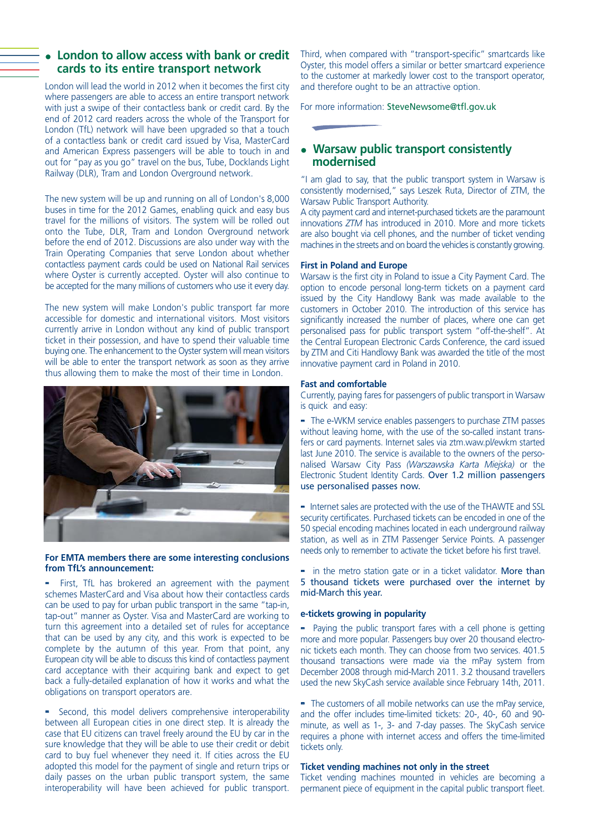# London to allow access with bank or credit **cards to its entire transport network**

London will lead the world in 2012 when it becomes the first city where passengers are able to access an entire transport network with just a swipe of their contactless bank or credit card. By the end of 2012 card readers across the whole of the Transport for London (TfL) network will have been upgraded so that a touch of a contactless bank or credit card issued by Visa, MasterCard and American Express passengers will be able to touch in and out for "pay as you go" travel on the bus, Tube, Docklands Light Railway (DLR), Tram and London Overground network.

The new system will be up and running on all of London's 8,000 buses in time for the 2012 Games, enabling quick and easy bus travel for the millions of visitors. The system will be rolled out onto the Tube, DLR, Tram and London Overground network before the end of 2012. Discussions are also under way with the Train Operating Companies that serve London about whether contactless payment cards could be used on National Rail services where Oyster is currently accepted. Oyster will also continue to be accepted for the many millions of customers who use it every day.

The new system will make London's public transport far more accessible for domestic and international visitors. Most visitors currently arrive in London without any kind of public transport ticket in their possession, and have to spend their valuable time buying one. The enhancement to the Oyster system will mean visitors will be able to enter the transport network as soon as they arrive thus allowing them to make the most of their time in London.



#### **For EMTA members there are some interesting conclusions from TfL's announcement:**

First, TfL has brokered an agreement with the payment schemes MasterCard and Visa about how their contactless cards can be used to pay for urban public transport in the same "tap-in, tap-out" manner as Oyster. Visa and MasterCard are working to turn this agreement into a detailed set of rules for acceptance that can be used by any city, and this work is expected to be complete by the autumn of this year. From that point, any European city will be able to discuss this kind of contactless payment card acceptance with their acquiring bank and expect to get back a fully-detailed explanation of how it works and what the obligations on transport operators are.

**-** Second, this model delivers comprehensive interoperability between all European cities in one direct step. It is already the case that EU citizens can travel freely around the EU by car in the sure knowledge that they will be able to use their credit or debit card to buy fuel whenever they need it. If cities across the EU adopted this model for the payment of single and return trips or daily passes on the urban public transport system, the same interoperability will have been achieved for public transport. Third, when compared with "transport-specific" smartcards like Oyster, this model offers a similar or better smartcard experience to the customer at markedly lower cost to the transport operator, and therefore ought to be an attractive option.

For more information: SteveNewsome@tfl.gov.uk

# • Warsaw public transport consistently **modernised**

"I am glad to say, that the public transport system in Warsaw is consistently modernised," says Leszek Ruta, Director of ZTM, the Warsaw Public Transport Authority.

A city payment card and internet-purchased tickets are the paramount innovations *ZTM* has introduced in 2010. More and more tickets are also bought via cell phones, and the number of ticket vending machines in the streets and on board the vehicles is constantly growing.

#### **First in Poland and Europe**

Warsaw is the first city in Poland to issue a City Payment Card. The option to encode personal long-term tickets on a payment card issued by the City Handlowy Bank was made available to the customers in October 2010. The introduction of this service has significantly increased the number of places, where one can get personalised pass for public transport system "off-the-shelf". At the Central European Electronic Cards Conference, the card issued by ZTM and Citi Handlowy Bank was awarded the title of the most innovative payment card in Poland in 2010.

#### **Fast and comfortable**

Currently, paying fares for passengers of public transport in Warsaw is quick and easy:

**-** The e-WKM service enables passengers to purchase ZTM passes without leaving home, with the use of the so-called instant transfers or card payments. Internet sales via ztm.waw.pl/ewkm started last June 2010. The service is available to the owners of the personalised Warsaw City Pass *(Warszawska Karta Miejska)* or the Electronic Student Identity Cards. Over 1.2 million passengers use personalised passes now.

**-** Internet sales are protected with the use of the THAWTE and SSL security certificates. Purchased tickets can be encoded in one of the 50 special encoding machines located in each underground railway station, as well as in ZTM Passenger Service Points. A passenger needs only to remember to activate the ticket before his first travel.

**-** in the metro station gate or in a ticket validator. More than 5 thousand tickets were purchased over the internet by mid-March this year.

#### **e-tickets growing in popularity**

**-** Paying the public transport fares with a cell phone is getting more and more popular. Passengers buy over 20 thousand electronic tickets each month. They can choose from two services. 401.5 thousand transactions were made via the mPay system from December 2008 through mid-March 2011. 3.2 thousand travellers used the new SkyCash service available since February 14th, 2011.

**-** The customers of all mobile networks can use the mPay service, and the offer includes time-limited tickets: 20-, 40-, 60 and 90 minute, as well as 1-, 3- and 7-day passes. The SkyCash service requires a phone with internet access and offers the time-limited tickets only.

#### **Ticket vending machines not only in the street**

Ticket vending machines mounted in vehicles are becoming a permanent piece of equipment in the capital public transport fleet.